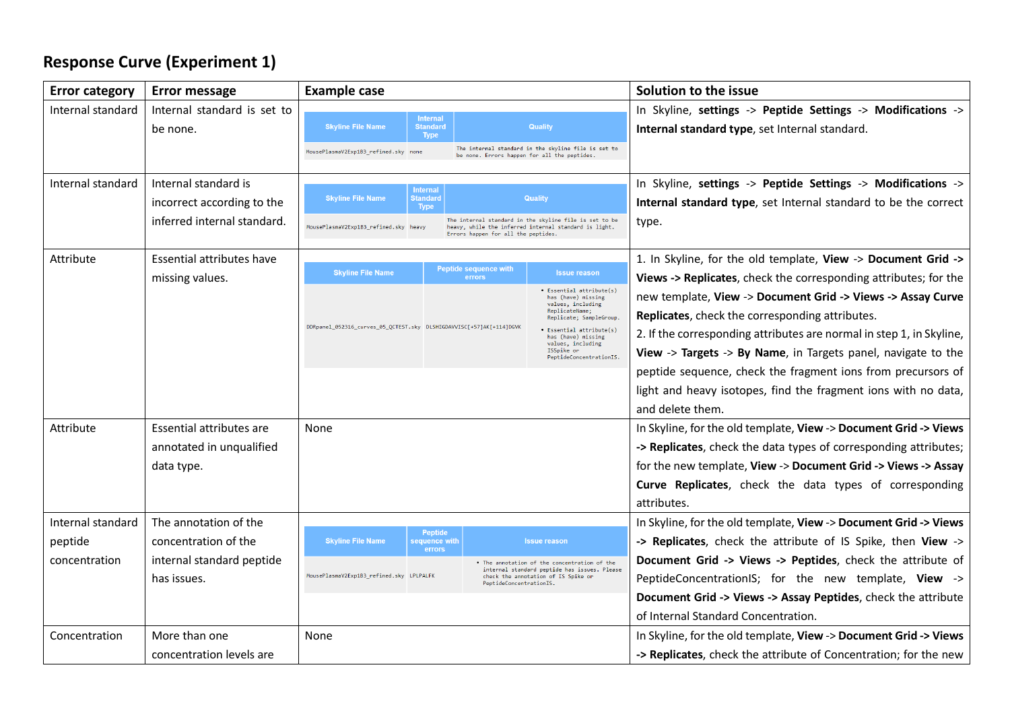# **Response Curve (Experiment 1)**

| <b>Error category</b> | Error message               | <b>Example case</b>                                                                  |                                                                                                                 | Solution to the issue                                                |
|-----------------------|-----------------------------|--------------------------------------------------------------------------------------|-----------------------------------------------------------------------------------------------------------------|----------------------------------------------------------------------|
| Internal standard     | Internal standard is set to | <b>Internal</b>                                                                      |                                                                                                                 | In Skyline, settings -> Peptide Settings -> Modifications ->         |
|                       | be none.                    | <b>Skyline File Name</b><br><b>Standard</b><br><b>Type</b>                           | Quality                                                                                                         | Internal standard type, set Internal standard.                       |
|                       |                             | MousePlasmaV2Exp1B3_refined.sky none<br>be none. Errors happen for all the peptides. | The internal standard in the skyline file is set to                                                             |                                                                      |
| Internal standard     | Internal standard is        | <b>Internal</b>                                                                      |                                                                                                                 | In Skyline, settings -> Peptide Settings -> Modifications ->         |
|                       | incorrect according to the  | <b>Skyline File Name</b><br><b>Standard</b><br><b>Type</b>                           | <b>Quality</b>                                                                                                  | Internal standard type, set Internal standard to be the correct      |
|                       | inferred internal standard. | MousePlasmaV2Exp1B3_refined.sky heavy<br>Errors happen for all the peptides.         | The internal standard in the skyline file is set to be<br>heavy, while the inferred internal standard is light. | type.                                                                |
| Attribute             | Essential attributes have   |                                                                                      |                                                                                                                 | 1. In Skyline, for the old template, View -> Document Grid ->        |
|                       | missing values.             | <b>Peptide sequence with</b><br><b>Skyline File Name</b><br>errors                   | <b>Issue reason</b>                                                                                             | Views -> Replicates, check the corresponding attributes; for the     |
|                       |                             |                                                                                      | • Essential attribute(s)<br>has (have) missing<br>values, including                                             | new template, View -> Document Grid -> Views -> Assay Curve          |
|                       |                             | DDRpanel_052316_curves_05_QCTEST.sky DLSHIGDAVVISC[+57]AK[+114]DGVK                  | ReplicateName;<br>Replicate; SampleGroup.                                                                       | Replicates, check the corresponding attributes.                      |
|                       |                             |                                                                                      | · Essential attribute(s)<br>has (have) missing<br>values, including                                             | 2. If the corresponding attributes are normal in step 1, in Skyline, |
|                       |                             |                                                                                      | ISSpike or<br>PeptideConcentrationIS.                                                                           | View -> Targets -> By Name, in Targets panel, navigate to the        |
|                       |                             |                                                                                      |                                                                                                                 | peptide sequence, check the fragment ions from precursors of         |
|                       |                             |                                                                                      |                                                                                                                 | light and heavy isotopes, find the fragment ions with no data,       |
|                       |                             |                                                                                      |                                                                                                                 | and delete them.                                                     |
| Attribute             | Essential attributes are    | None                                                                                 |                                                                                                                 | In Skyline, for the old template, View -> Document Grid -> Views     |
|                       | annotated in unqualified    |                                                                                      |                                                                                                                 | -> Replicates, check the data types of corresponding attributes;     |
|                       | data type.                  |                                                                                      |                                                                                                                 | for the new template, View -> Document Grid -> Views -> Assay        |
|                       |                             |                                                                                      |                                                                                                                 | Curve Replicates, check the data types of corresponding              |
|                       |                             |                                                                                      |                                                                                                                 | attributes.                                                          |
| Internal standard     | The annotation of the       | <b>Peptide</b>                                                                       |                                                                                                                 | In Skyline, for the old template, View -> Document Grid -> Views     |
| peptide               | concentration of the        | <b>Skyline File Name</b><br>sequence with<br>errors                                  | <b>Issue reason</b>                                                                                             | -> Replicates, check the attribute of IS Spike, then View ->         |
| concentration         | internal standard peptide   |                                                                                      | . The annotation of the concentration of the<br>internal standard peptide has issues. Please                    | Document Grid -> Views -> Peptides, check the attribute of           |
|                       | has issues.                 | MousePlasmaV2Exp1B3_refined.sky LPLPALFK<br>PeptideConcentrationIS.                  | check the annotation of IS Spike or                                                                             | PeptideConcentrationIS; for the new template, View ->                |
|                       |                             |                                                                                      |                                                                                                                 | Document Grid -> Views -> Assay Peptides, check the attribute        |
|                       |                             |                                                                                      |                                                                                                                 | of Internal Standard Concentration.                                  |
| Concentration         | More than one               | None                                                                                 |                                                                                                                 | In Skyline, for the old template, View -> Document Grid -> Views     |
|                       | concentration levels are    |                                                                                      |                                                                                                                 | -> Replicates, check the attribute of Concentration; for the new     |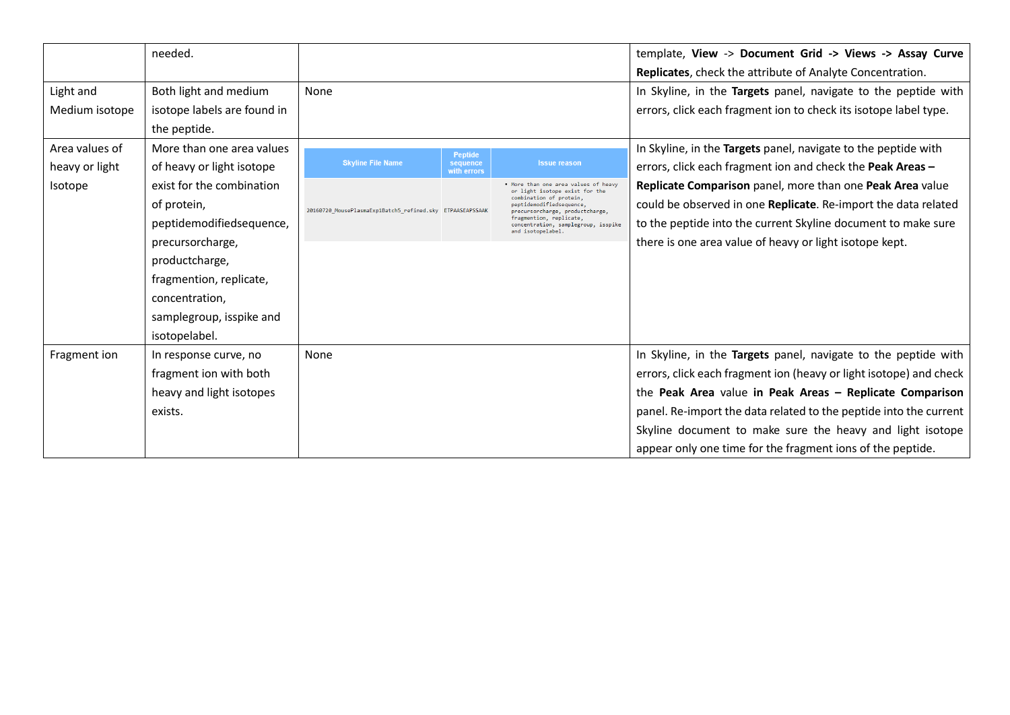|                                  | needed.                                                                                                                                                                                              |                                                           |                                           |                                                                                                                                                                                                                                                       | template, View -> Document Grid -> Views -> Assay Curve<br>Replicates, check the attribute of Analyte Concentration.                                                                                                                                                                                                                                                                             |
|----------------------------------|------------------------------------------------------------------------------------------------------------------------------------------------------------------------------------------------------|-----------------------------------------------------------|-------------------------------------------|-------------------------------------------------------------------------------------------------------------------------------------------------------------------------------------------------------------------------------------------------------|--------------------------------------------------------------------------------------------------------------------------------------------------------------------------------------------------------------------------------------------------------------------------------------------------------------------------------------------------------------------------------------------------|
| Light and<br>Medium isotope      | Both light and medium<br>isotope labels are found in<br>the peptide.                                                                                                                                 | None                                                      |                                           |                                                                                                                                                                                                                                                       | In Skyline, in the Targets panel, navigate to the peptide with<br>errors, click each fragment ion to check its isotope label type.                                                                                                                                                                                                                                                               |
| Area values of<br>heavy or light | More than one area values<br>of heavy or light isotope                                                                                                                                               | <b>Skyline File Name</b>                                  | <b>Peptide</b><br>sequence<br>with errors | <b>Issue reason</b>                                                                                                                                                                                                                                   | In Skyline, in the Targets panel, navigate to the peptide with<br>errors, click each fragment ion and check the Peak Areas -                                                                                                                                                                                                                                                                     |
| Isotope                          | exist for the combination<br>of protein,<br>peptidemodifiedsequence,<br>precursorcharge,<br>productcharge,<br>fragmention, replicate,<br>concentration,<br>samplegroup, isspike and<br>isotopelabel. | 20160720_MousePlasmaExp1Batch5_refined.sky ETPAASEAPSSAAK |                                           | More than one area values of heavy<br>or light isotope exist for the<br>combination of protein,<br>peptidemodifiedsequence,<br>precursorcharge, productcharge,<br>fragmention, replicate,<br>concentration, samplegroup, isspike<br>and isotopelabel. | Replicate Comparison panel, more than one Peak Area value<br>could be observed in one Replicate. Re-import the data related<br>to the peptide into the current Skyline document to make sure<br>there is one area value of heavy or light isotope kept.                                                                                                                                          |
| Fragment ion                     | In response curve, no<br>fragment ion with both<br>heavy and light isotopes<br>exists.                                                                                                               | None                                                      |                                           |                                                                                                                                                                                                                                                       | In Skyline, in the Targets panel, navigate to the peptide with<br>errors, click each fragment ion (heavy or light isotope) and check<br>the Peak Area value in Peak Areas - Replicate Comparison<br>panel. Re-import the data related to the peptide into the current<br>Skyline document to make sure the heavy and light isotope<br>appear only one time for the fragment ions of the peptide. |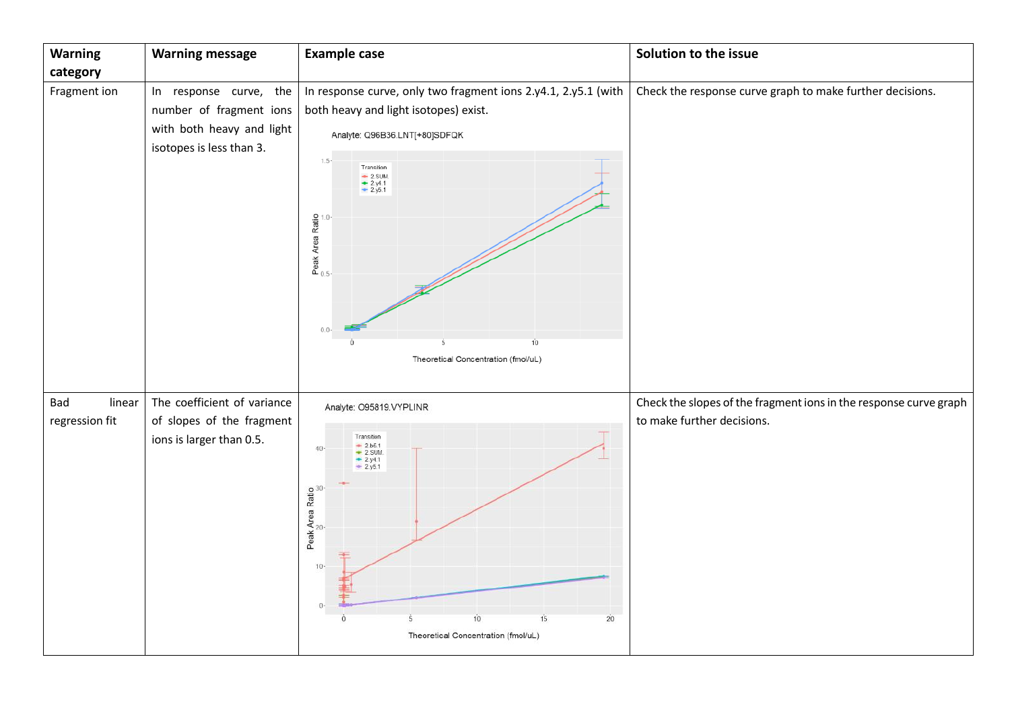| <b>Warning</b>                  | <b>Warning message</b>                                                                                        | <b>Example case</b>                                                                                                                                                                                                                                             | Solution to the issue                                                                           |
|---------------------------------|---------------------------------------------------------------------------------------------------------------|-----------------------------------------------------------------------------------------------------------------------------------------------------------------------------------------------------------------------------------------------------------------|-------------------------------------------------------------------------------------------------|
| category                        |                                                                                                               |                                                                                                                                                                                                                                                                 |                                                                                                 |
| Fragment ion                    | the<br>In response curve,<br>number of fragment ions<br>with both heavy and light<br>isotopes is less than 3. | In response curve, only two fragment ions 2.y4.1, 2.y5.1 (with<br>both heavy and light isotopes) exist.<br>Analyte: Q96B36.LNT[+80]SDFQK<br>$1.5 -$<br>Transition<br>$2$ SUM.<br>$2$ y4.1<br>$2$ 2.y5.1<br>$0.0 -$<br>10<br>Theoretical Concentration (fmol/uL) | Check the response curve graph to make further decisions.                                       |
| Bad<br>linear<br>regression fit | The coefficient of variance<br>of slopes of the fragment<br>ions is larger than 0.5.                          | Analyte: O95819.VYPLINR<br>Transition<br>$+ 2b5.1$<br>$+ 2s$ UM.<br>$40 -$<br>$2y4.1$<br>$2y5.1$<br>Peak Area Ratio<br>$10 -$<br>$\mathbb{O}$<br>15<br>10<br>20<br>Theoretical Concentration (fmol/uL)                                                          | Check the slopes of the fragment ions in the response curve graph<br>to make further decisions. |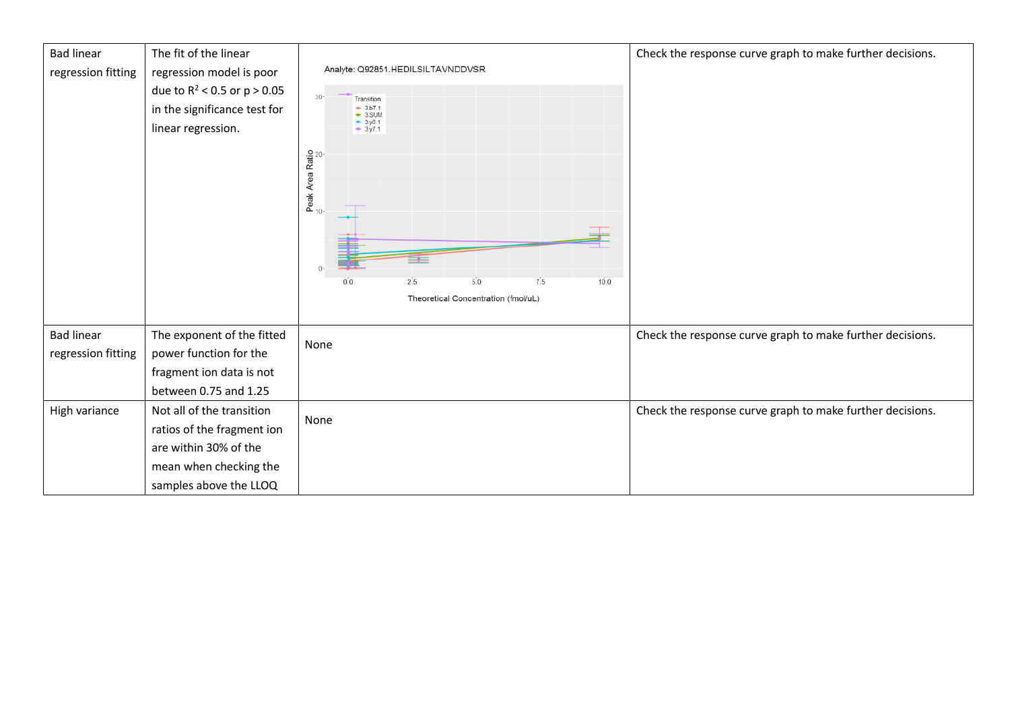| <b>Bad linear</b><br>regression fitting | The fit of the linear<br>regression model is poor<br>due to $R^2$ < 0.5 or $p > 0.05$<br>in the significance test for<br>linear regression. | Analyte: Q92851.HEDILSILTAVNDDVSR<br>$30 -$<br>Transition<br>$ + 3.57.1$<br>$-3.5$ UM.<br>$-3.96.1$<br>$-3.97.1$<br>Peak Area Ratio<br>$\Omega$<br>5.0<br>7.5<br>10.0<br>2.5<br>0.0<br>Theoretical Concentration (fmol/uL) | Check the response curve graph to make further decisions. |
|-----------------------------------------|---------------------------------------------------------------------------------------------------------------------------------------------|----------------------------------------------------------------------------------------------------------------------------------------------------------------------------------------------------------------------------|-----------------------------------------------------------|
| <b>Bad linear</b><br>regression fitting | The exponent of the fitted<br>power function for the<br>fragment ion data is not<br>between 0.75 and 1.25                                   | None                                                                                                                                                                                                                       | Check the response curve graph to make further decisions. |
| High variance                           | Not all of the transition<br>ratios of the fragment ion<br>are within 30% of the<br>mean when checking the<br>samples above the LLOQ        | None                                                                                                                                                                                                                       | Check the response curve graph to make further decisions. |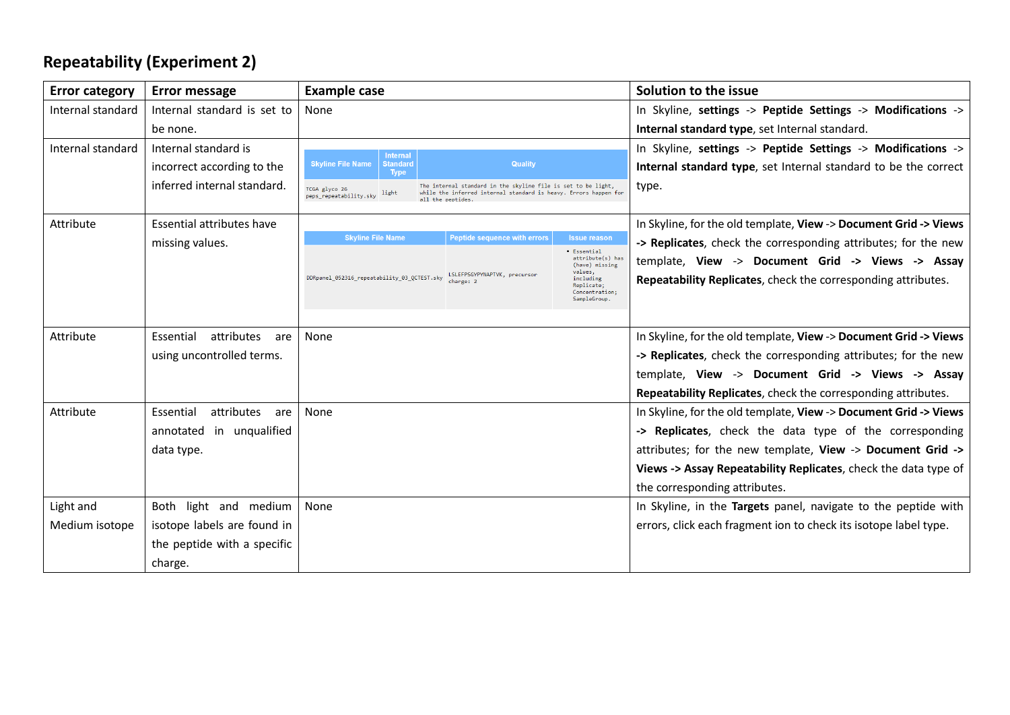# **Repeatability (Experiment 2)**

| <b>Error category</b> | <b>Error message</b>           | <b>Example case</b>                                                   |                                                                                                                                   |                                                                      | Solution to the issue                                            |
|-----------------------|--------------------------------|-----------------------------------------------------------------------|-----------------------------------------------------------------------------------------------------------------------------------|----------------------------------------------------------------------|------------------------------------------------------------------|
| Internal standard     | Internal standard is set to    | None                                                                  |                                                                                                                                   |                                                                      | In Skyline, settings -> Peptide Settings -> Modifications ->     |
|                       | be none.                       |                                                                       |                                                                                                                                   |                                                                      | Internal standard type, set Internal standard.                   |
| Internal standard     | Internal standard is           | <b>Internal</b>                                                       |                                                                                                                                   |                                                                      | In Skyline, settings -> Peptide Settings -> Modifications ->     |
|                       | incorrect according to the     | <b>Skyline File Name</b><br><b>Standard</b><br><b>Type</b>            | <b>Quality</b>                                                                                                                    |                                                                      | Internal standard type, set Internal standard to be the correct  |
|                       | inferred internal standard.    | TCGA glyco 26<br>light<br>peps_repeatability.sky<br>all the peptides. | The internal standard in the skyline file is set to be light,<br>while the inferred internal standard is heavy. Errors happen for |                                                                      | type.                                                            |
| Attribute             | Essential attributes have      |                                                                       |                                                                                                                                   |                                                                      | In Skyline, for the old template, View -> Document Grid -> Views |
|                       | missing values.                | <b>Skyline File Name</b>                                              | <b>Peptide sequence with errors</b>                                                                                               | <b>Issue reason</b>                                                  | -> Replicates, check the corresponding attributes; for the new   |
|                       |                                |                                                                       |                                                                                                                                   | · Essential<br>attribute(s) has<br>(have) missing                    | template, View -> Document Grid -> Views -> Assay                |
|                       |                                | DDRpanel_052316_repeatability_03_QCTEST.sky                           | LSLEFPSGYPYNAPTVK, precursor<br>change: 2                                                                                         | values,<br>including<br>Replicate;<br>Concentration;<br>SampleGroup. | Repeatability Replicates, check the corresponding attributes.    |
|                       |                                |                                                                       |                                                                                                                                   |                                                                      |                                                                  |
| Attribute             | attributes<br>Essential<br>are | None                                                                  |                                                                                                                                   |                                                                      | In Skyline, for the old template, View -> Document Grid -> Views |
|                       | using uncontrolled terms.      |                                                                       |                                                                                                                                   |                                                                      | -> Replicates, check the corresponding attributes; for the new   |
|                       |                                |                                                                       |                                                                                                                                   |                                                                      | template, View -> Document Grid -> Views -> Assay                |
|                       |                                |                                                                       |                                                                                                                                   |                                                                      | Repeatability Replicates, check the corresponding attributes.    |
| Attribute             | Essential<br>attributes<br>are | None                                                                  |                                                                                                                                   |                                                                      | In Skyline, for the old template, View -> Document Grid -> Views |
|                       | annotated in unqualified       |                                                                       |                                                                                                                                   |                                                                      | -> Replicates, check the data type of the corresponding          |
|                       | data type.                     |                                                                       |                                                                                                                                   |                                                                      | attributes; for the new template, View -> Document Grid ->       |
|                       |                                |                                                                       |                                                                                                                                   |                                                                      | Views -> Assay Repeatability Replicates, check the data type of  |
|                       |                                |                                                                       |                                                                                                                                   |                                                                      | the corresponding attributes.                                    |
| Light and             | Both light and medium          | None                                                                  |                                                                                                                                   |                                                                      | In Skyline, in the Targets panel, navigate to the peptide with   |
| Medium isotope        | isotope labels are found in    |                                                                       |                                                                                                                                   |                                                                      | errors, click each fragment ion to check its isotope label type. |
|                       | the peptide with a specific    |                                                                       |                                                                                                                                   |                                                                      |                                                                  |
|                       | charge.                        |                                                                       |                                                                                                                                   |                                                                      |                                                                  |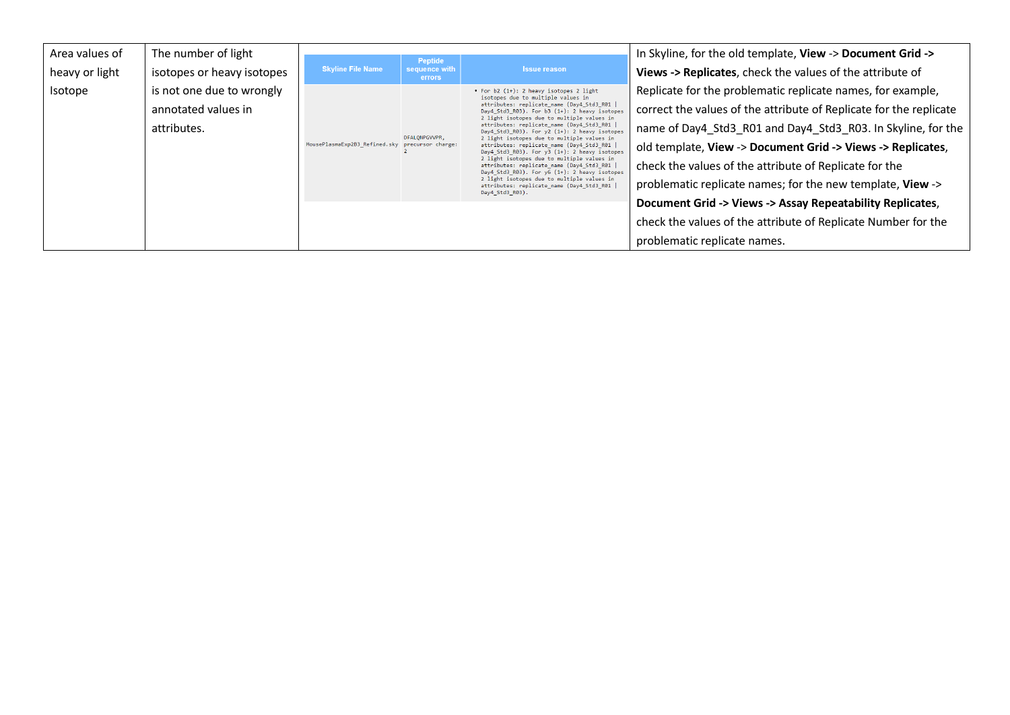| Area values of | The number of light        |                          | <b>Peptide</b>                                                                                                                               |                                                                                                                                                                                                                                                                                                                                                                                          | In Skyline, for the old template, View -> Document Grid ->         |
|----------------|----------------------------|--------------------------|----------------------------------------------------------------------------------------------------------------------------------------------|------------------------------------------------------------------------------------------------------------------------------------------------------------------------------------------------------------------------------------------------------------------------------------------------------------------------------------------------------------------------------------------|--------------------------------------------------------------------|
| heavy or light | isotopes or heavy isotopes | <b>Skyline File Name</b> | sequence with<br><b>errors</b>                                                                                                               | <b>Issue reason</b>                                                                                                                                                                                                                                                                                                                                                                      | Views -> Replicates, check the values of the attribute of          |
| Isotope        | is not one due to wrongly  |                          |                                                                                                                                              | • For b2 (1+): 2 heavy isotopes 2 light<br>isotopes due to multiple values in                                                                                                                                                                                                                                                                                                            | Replicate for the problematic replicate names, for example,        |
|                | annotated values in        |                          | DFALONPGVVPR,<br>MousePlasmaExp2B3_Refined.sky precursor charge:                                                                             | attributes: replicate_name (Day4_Std3_R01  <br>Day4 Std3 R03). For b3 (1+): 2 heavy isotopes<br>2 light isotopes due to multiple values in<br>attributes: replicate_name (Day4_Std3_R01  <br>Day4_Std3_R03). For y2 (1+): 2 heavy isotopes<br>2 light isotopes due to multiple values in<br>attributes: replicate_name (Day4_Std3_R01  <br>Day4 Std3 R03). For y3 (1+): 2 heavy isotopes | correct the values of the attribute of Replicate for the replicate |
|                | attributes.                |                          |                                                                                                                                              |                                                                                                                                                                                                                                                                                                                                                                                          | name of Day4_Std3_R01 and Day4_Std3_R03. In Skyline, for the       |
|                |                            |                          |                                                                                                                                              |                                                                                                                                                                                                                                                                                                                                                                                          | old template, View -> Document Grid -> Views -> Replicates,        |
|                |                            |                          | 2 light isotopes due to multiple values in<br>attributes: replicate_name (Day4_Std3_R01  <br>Day4 Std3 R03). For $y6(1+)$ : 2 heavy isotopes | check the values of the attribute of Replicate for the                                                                                                                                                                                                                                                                                                                                   |                                                                    |
|                |                            |                          |                                                                                                                                              | 2 light isotopes due to multiple values in<br>attributes: replicate name (Day4 Std3 R01  <br>Day4 Std3 R03).                                                                                                                                                                                                                                                                             | problematic replicate names; for the new template, View ->         |
|                |                            |                          |                                                                                                                                              |                                                                                                                                                                                                                                                                                                                                                                                          | Document Grid -> Views -> Assay Repeatability Replicates,          |
|                |                            |                          |                                                                                                                                              |                                                                                                                                                                                                                                                                                                                                                                                          | check the values of the attribute of Replicate Number for the      |
|                |                            |                          |                                                                                                                                              |                                                                                                                                                                                                                                                                                                                                                                                          | problematic replicate names.                                       |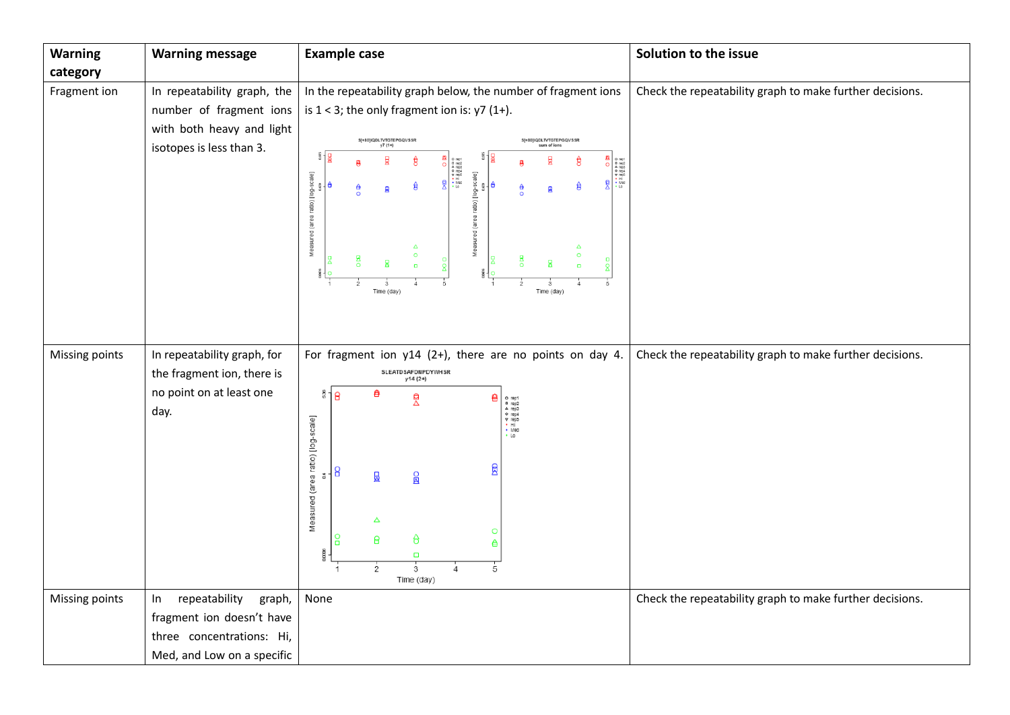| <b>Warning message</b>      | <b>Example case</b>                                                                                                                                  | Solution to the issue                                                                                                                                                                                                                                                                                                                                                                                                                                                                                                                                                                                                                                                                                                                                                                                                                                                 |
|-----------------------------|------------------------------------------------------------------------------------------------------------------------------------------------------|-----------------------------------------------------------------------------------------------------------------------------------------------------------------------------------------------------------------------------------------------------------------------------------------------------------------------------------------------------------------------------------------------------------------------------------------------------------------------------------------------------------------------------------------------------------------------------------------------------------------------------------------------------------------------------------------------------------------------------------------------------------------------------------------------------------------------------------------------------------------------|
|                             |                                                                                                                                                      |                                                                                                                                                                                                                                                                                                                                                                                                                                                                                                                                                                                                                                                                                                                                                                                                                                                                       |
| In repeatability graph, the | In the repeatability graph below, the number of fragment ions                                                                                        | Check the repeatability graph to make further decisions.                                                                                                                                                                                                                                                                                                                                                                                                                                                                                                                                                                                                                                                                                                                                                                                                              |
| number of fragment ions     | is $1 < 3$ ; the only fragment ion is: $y7(1+)$ .                                                                                                    |                                                                                                                                                                                                                                                                                                                                                                                                                                                                                                                                                                                                                                                                                                                                                                                                                                                                       |
| with both heavy and light   |                                                                                                                                                      |                                                                                                                                                                                                                                                                                                                                                                                                                                                                                                                                                                                                                                                                                                                                                                                                                                                                       |
| isotopes is less than 3.    | sum of ions                                                                                                                                          |                                                                                                                                                                                                                                                                                                                                                                                                                                                                                                                                                                                                                                                                                                                                                                                                                                                                       |
|                             |                                                                                                                                                      |                                                                                                                                                                                                                                                                                                                                                                                                                                                                                                                                                                                                                                                                                                                                                                                                                                                                       |
|                             | ě<br>₿<br>€<br>ê<br>≜<br>圓<br>頁<br>$\circ$                                                                                                           |                                                                                                                                                                                                                                                                                                                                                                                                                                                                                                                                                                                                                                                                                                                                                                                                                                                                       |
|                             |                                                                                                                                                      |                                                                                                                                                                                                                                                                                                                                                                                                                                                                                                                                                                                                                                                                                                                                                                                                                                                                       |
|                             |                                                                                                                                                      |                                                                                                                                                                                                                                                                                                                                                                                                                                                                                                                                                                                                                                                                                                                                                                                                                                                                       |
|                             | Δ<br>Δ<br>$\circ$<br>$\circ$                                                                                                                         |                                                                                                                                                                                                                                                                                                                                                                                                                                                                                                                                                                                                                                                                                                                                                                                                                                                                       |
|                             | m.                                                                                                                                                   |                                                                                                                                                                                                                                                                                                                                                                                                                                                                                                                                                                                                                                                                                                                                                                                                                                                                       |
|                             | Time (day)<br>Time (day)                                                                                                                             |                                                                                                                                                                                                                                                                                                                                                                                                                                                                                                                                                                                                                                                                                                                                                                                                                                                                       |
|                             |                                                                                                                                                      |                                                                                                                                                                                                                                                                                                                                                                                                                                                                                                                                                                                                                                                                                                                                                                                                                                                                       |
|                             |                                                                                                                                                      |                                                                                                                                                                                                                                                                                                                                                                                                                                                                                                                                                                                                                                                                                                                                                                                                                                                                       |
|                             |                                                                                                                                                      | Check the repeatability graph to make further decisions.                                                                                                                                                                                                                                                                                                                                                                                                                                                                                                                                                                                                                                                                                                                                                                                                              |
| the fragment ion, there is  |                                                                                                                                                      |                                                                                                                                                                                                                                                                                                                                                                                                                                                                                                                                                                                                                                                                                                                                                                                                                                                                       |
| no point on at least one    | ₿<br>සී<br>A                                                                                                                                         |                                                                                                                                                                                                                                                                                                                                                                                                                                                                                                                                                                                                                                                                                                                                                                                                                                                                       |
| day.                        |                                                                                                                                                      |                                                                                                                                                                                                                                                                                                                                                                                                                                                                                                                                                                                                                                                                                                                                                                                                                                                                       |
|                             | $\cdot$ Lo                                                                                                                                           |                                                                                                                                                                                                                                                                                                                                                                                                                                                                                                                                                                                                                                                                                                                                                                                                                                                                       |
|                             |                                                                                                                                                      |                                                                                                                                                                                                                                                                                                                                                                                                                                                                                                                                                                                                                                                                                                                                                                                                                                                                       |
|                             | 且<br>8<br>E.                                                                                                                                         |                                                                                                                                                                                                                                                                                                                                                                                                                                                                                                                                                                                                                                                                                                                                                                                                                                                                       |
|                             |                                                                                                                                                      |                                                                                                                                                                                                                                                                                                                                                                                                                                                                                                                                                                                                                                                                                                                                                                                                                                                                       |
|                             |                                                                                                                                                      |                                                                                                                                                                                                                                                                                                                                                                                                                                                                                                                                                                                                                                                                                                                                                                                                                                                                       |
|                             | O                                                                                                                                                    |                                                                                                                                                                                                                                                                                                                                                                                                                                                                                                                                                                                                                                                                                                                                                                                                                                                                       |
|                             | с<br>Ō.                                                                                                                                              |                                                                                                                                                                                                                                                                                                                                                                                                                                                                                                                                                                                                                                                                                                                                                                                                                                                                       |
|                             | 3<br>5<br>$\overline{2}$                                                                                                                             |                                                                                                                                                                                                                                                                                                                                                                                                                                                                                                                                                                                                                                                                                                                                                                                                                                                                       |
|                             |                                                                                                                                                      |                                                                                                                                                                                                                                                                                                                                                                                                                                                                                                                                                                                                                                                                                                                                                                                                                                                                       |
|                             |                                                                                                                                                      | Check the repeatability graph to make further decisions.                                                                                                                                                                                                                                                                                                                                                                                                                                                                                                                                                                                                                                                                                                                                                                                                              |
|                             |                                                                                                                                                      |                                                                                                                                                                                                                                                                                                                                                                                                                                                                                                                                                                                                                                                                                                                                                                                                                                                                       |
|                             |                                                                                                                                                      |                                                                                                                                                                                                                                                                                                                                                                                                                                                                                                                                                                                                                                                                                                                                                                                                                                                                       |
|                             | In repeatability graph, for<br>repeatability<br>graph,<br>In<br>fragment ion doesn't have<br>three concentrations: Hi,<br>Med, and Low on a specific | S[+80]IQDLTVTGTEPGQVSSR<br>S[+80]IQDLTVTGTEPGQVSSR<br>y7(1+)<br>o rept<br>a rep3<br>o rept<br>o rept<br>o rept<br>a rept<br>o rept<br>o rept<br>o rept<br>o rept<br>o rept<br>o rept<br>o rept<br>o rept<br>o rept<br>o rept<br>o rept<br>v - Hill in de<br>in de<br>in de<br>in de<br>in de<br>in de<br>in de<br>in de<br>in de<br>in de<br>O rep1<br><b>A</b> rep3<br><b>A</b> rep3<br><b>v</b> rep5<br><b>v</b> Hide<br><b>Med</b><br><b>b</b> Lo<br>Measured (area ratio) [log-scale]<br>ratio) [log-scale]<br>""<br>"<br>Measured (area<br>For fragment ion $y14$ (2+), there are no points on day 4.<br>SLEATD SAFDNPDYWHSR<br>y14 (2+)<br>18<br>요<br>O rep1<br><b>D</b> rep2<br><b>A</b> rep3<br><b>O</b> rep5<br><b>V</b> rep5<br><b>*</b> Med<br><b>*</b> Med<br>Measured (area ratio) [log-scale]<br>0回<br>圆<br>Δ<br>₿<br>Я<br>≜<br>ğ<br>Time (day)<br>None |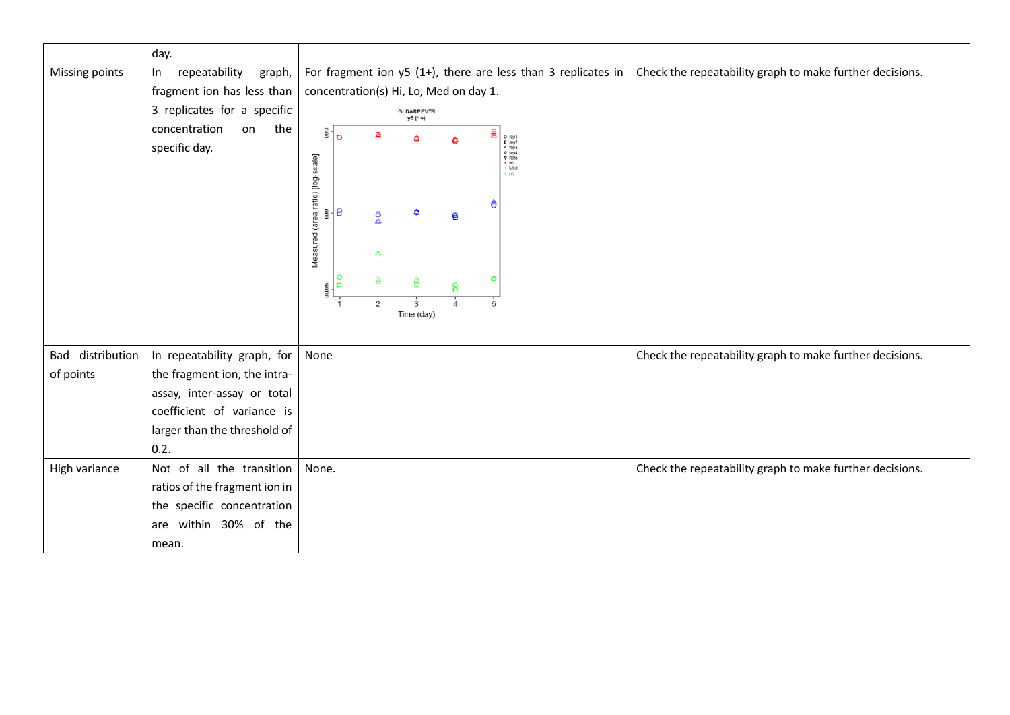|                  | day.                                                                                                                                         |                                                                                                                                                                                                                                                                                                                                                                   |                                                          |
|------------------|----------------------------------------------------------------------------------------------------------------------------------------------|-------------------------------------------------------------------------------------------------------------------------------------------------------------------------------------------------------------------------------------------------------------------------------------------------------------------------------------------------------------------|----------------------------------------------------------|
| Missing points   | repeatability<br>graph,<br>$\ln$<br>fragment ion has less than<br>3 replicates for a specific<br>concentration<br>the<br>on<br>specific day. | For fragment ion $y5(1+)$ , there are less than 3 replicates in<br>concentration(s) Hi, Lo, Med on day 1.<br>GLDARPEVTR<br>y5 (1+)<br>E80<br>酋<br>O rep1<br><b>A</b> rep3<br><b>A</b> rep3<br><b>V</b> rep5<br><b>V</b> Red<br><b>Wed</b><br>Δ<br>Measured (area ratio) [log-scale]<br>€<br>@ ⊣ €<br>Δ<br>a<br>Δ<br>₿<br>ê<br>0.0096<br>2<br>3<br>5<br>Time (day) | Check the repeatability graph to make further decisions. |
| Bad distribution | In repeatability graph, for                                                                                                                  | None                                                                                                                                                                                                                                                                                                                                                              | Check the repeatability graph to make further decisions. |
| of points        | the fragment ion, the intra-                                                                                                                 |                                                                                                                                                                                                                                                                                                                                                                   |                                                          |
|                  | assay, inter-assay or total                                                                                                                  |                                                                                                                                                                                                                                                                                                                                                                   |                                                          |
|                  | coefficient of variance is                                                                                                                   |                                                                                                                                                                                                                                                                                                                                                                   |                                                          |
|                  | larger than the threshold of                                                                                                                 |                                                                                                                                                                                                                                                                                                                                                                   |                                                          |
|                  | 0.2.                                                                                                                                         |                                                                                                                                                                                                                                                                                                                                                                   |                                                          |
| High variance    | Not of all the transition                                                                                                                    | None.                                                                                                                                                                                                                                                                                                                                                             | Check the repeatability graph to make further decisions. |
|                  | ratios of the fragment ion in                                                                                                                |                                                                                                                                                                                                                                                                                                                                                                   |                                                          |
|                  | the specific concentration                                                                                                                   |                                                                                                                                                                                                                                                                                                                                                                   |                                                          |
|                  | are within 30% of the                                                                                                                        |                                                                                                                                                                                                                                                                                                                                                                   |                                                          |
|                  | mean.                                                                                                                                        |                                                                                                                                                                                                                                                                                                                                                                   |                                                          |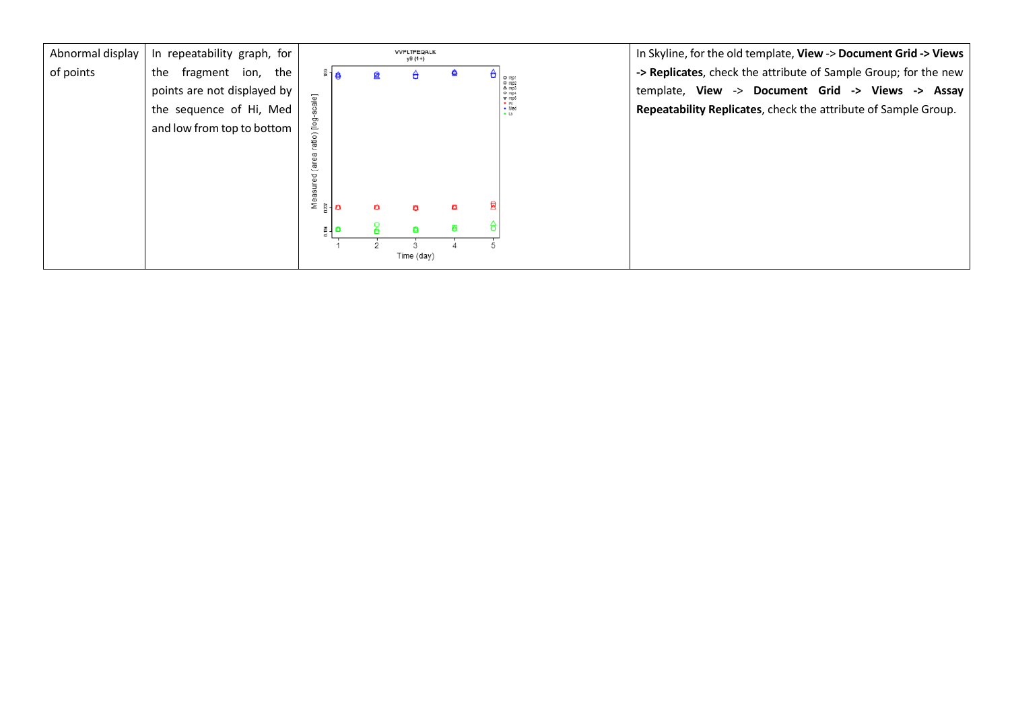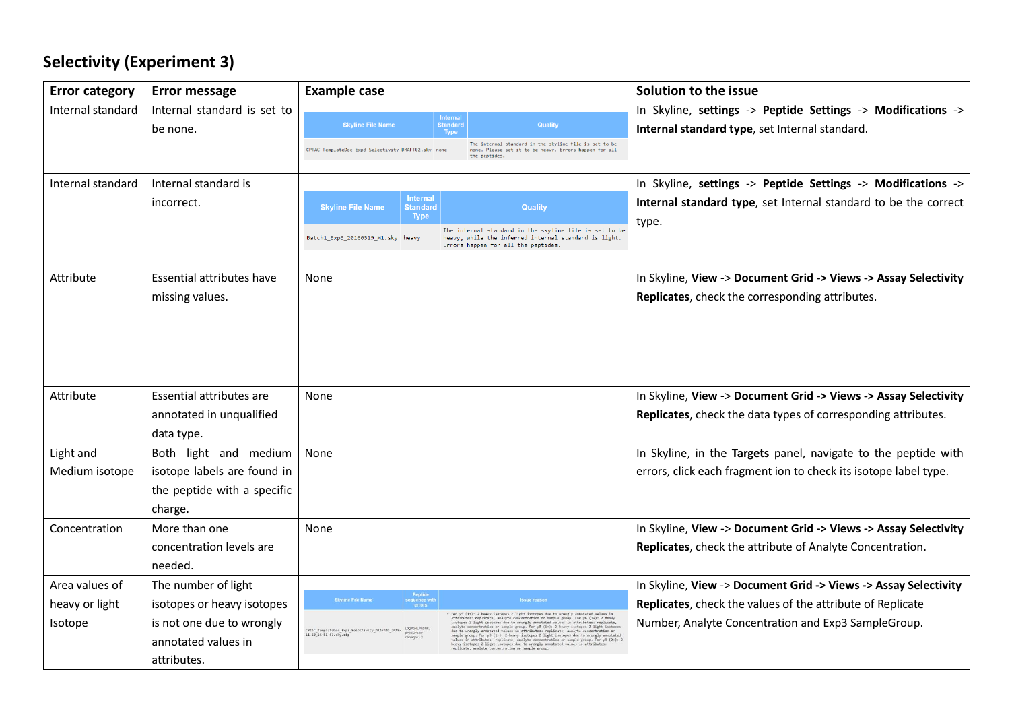# **Selectivity (Experiment 3)**

| <b>Error category</b> | <b>Error message</b>             | <b>Example case</b>                                                                                                                                                                                                                                                                                                                                                                                                                                                                        | Solution to the issue                                            |
|-----------------------|----------------------------------|--------------------------------------------------------------------------------------------------------------------------------------------------------------------------------------------------------------------------------------------------------------------------------------------------------------------------------------------------------------------------------------------------------------------------------------------------------------------------------------------|------------------------------------------------------------------|
| Internal standard     | Internal standard is set to      | <b>Internal</b>                                                                                                                                                                                                                                                                                                                                                                                                                                                                            | In Skyline, settings -> Peptide Settings -> Modifications ->     |
|                       | be none.                         | <b>Skyline File Name</b><br><b>Standard</b><br>Quality<br>Type                                                                                                                                                                                                                                                                                                                                                                                                                             | Internal standard type, set Internal standard.                   |
|                       |                                  | The internal standard in the skyline file is set to be<br>CPTAC_TemplateDoc_Exp3_Selectivity_DRAFT02.sky none<br>none. Please set it to be heavy. Errors happen for all<br>the peptides                                                                                                                                                                                                                                                                                                    |                                                                  |
|                       |                                  |                                                                                                                                                                                                                                                                                                                                                                                                                                                                                            |                                                                  |
| Internal standard     | Internal standard is             |                                                                                                                                                                                                                                                                                                                                                                                                                                                                                            | In Skyline, settings -> Peptide Settings -> Modifications ->     |
|                       | incorrect.                       | <b>Internal</b><br><b>Skyline File Name</b><br><b>Quality</b><br>Standard                                                                                                                                                                                                                                                                                                                                                                                                                  | Internal standard type, set Internal standard to be the correct  |
|                       |                                  | <b>Type</b><br>The internal standard in the skyline file is set to be                                                                                                                                                                                                                                                                                                                                                                                                                      | type.                                                            |
|                       |                                  | Batch1 Exp3 20160519 M1.sky heavy<br>heavy, while the inferred internal standard is light.<br>Errors happen for all the peptides.                                                                                                                                                                                                                                                                                                                                                          |                                                                  |
|                       |                                  |                                                                                                                                                                                                                                                                                                                                                                                                                                                                                            |                                                                  |
| Attribute             | <b>Essential attributes have</b> | None                                                                                                                                                                                                                                                                                                                                                                                                                                                                                       | In Skyline, View -> Document Grid -> Views -> Assay Selectivity  |
|                       | missing values.                  |                                                                                                                                                                                                                                                                                                                                                                                                                                                                                            | Replicates, check the corresponding attributes.                  |
|                       |                                  |                                                                                                                                                                                                                                                                                                                                                                                                                                                                                            |                                                                  |
|                       |                                  |                                                                                                                                                                                                                                                                                                                                                                                                                                                                                            |                                                                  |
|                       |                                  |                                                                                                                                                                                                                                                                                                                                                                                                                                                                                            |                                                                  |
|                       |                                  |                                                                                                                                                                                                                                                                                                                                                                                                                                                                                            |                                                                  |
| Attribute             | Essential attributes are         | None                                                                                                                                                                                                                                                                                                                                                                                                                                                                                       | In Skyline, View -> Document Grid -> Views -> Assay Selectivity  |
|                       | annotated in unqualified         |                                                                                                                                                                                                                                                                                                                                                                                                                                                                                            | Replicates, check the data types of corresponding attributes.    |
|                       | data type.                       |                                                                                                                                                                                                                                                                                                                                                                                                                                                                                            |                                                                  |
| Light and             | Both light and medium            | None                                                                                                                                                                                                                                                                                                                                                                                                                                                                                       | In Skyline, in the Targets panel, navigate to the peptide with   |
| Medium isotope        | isotope labels are found in      |                                                                                                                                                                                                                                                                                                                                                                                                                                                                                            | errors, click each fragment ion to check its isotope label type. |
|                       | the peptide with a specific      |                                                                                                                                                                                                                                                                                                                                                                                                                                                                                            |                                                                  |
|                       | charge.                          |                                                                                                                                                                                                                                                                                                                                                                                                                                                                                            |                                                                  |
| Concentration         | More than one                    | None                                                                                                                                                                                                                                                                                                                                                                                                                                                                                       | In Skyline, View -> Document Grid -> Views -> Assay Selectivity  |
|                       | concentration levels are         |                                                                                                                                                                                                                                                                                                                                                                                                                                                                                            | Replicates, check the attribute of Analyte Concentration.        |
|                       | needed.                          |                                                                                                                                                                                                                                                                                                                                                                                                                                                                                            |                                                                  |
| Area values of        | The number of light              |                                                                                                                                                                                                                                                                                                                                                                                                                                                                                            | In Skyline, View -> Document Grid -> Views -> Assay Selectivity  |
| heavy or light        | isotopes or heavy isotopes       | Peptide<br>sequence with<br><b>Skyline File Name</b><br><b>Issue reason</b>                                                                                                                                                                                                                                                                                                                                                                                                                | Replicates, check the values of the attribute of Replicate       |
| Isotope               | is not one due to wrongly        | . For yS (1+): 2 heavy isotopes 2 light isotopes due to wrongly annotated values is<br>attributes: replicate, analyte concentration or sample group. For y6 (1+): 2 heav<br>successed. Telestates, energy to enoughly amoutated values in attributes: replicate<br>analyte concentration or sample group. For y8 (1+): 2 heavy isotopes 2 light isotope<br>due to wrongly annotated values in attributes: replic<br><b>LDOPGNLPGSNR</b><br>CPTAC TemplateDoc Exp3 Selectivity DRAFT02 2019 | Number, Analyte Concentration and Exp3 SampleGroup.              |
|                       | annotated values in              | owe co wrongsy annotated values in attributes: replicate, analyte concentration or sample proces. For $j0$ (1+): Jeavy letters in all the interspect to the values in extrapolation of values in extrapolation of the state o<br>precursor<br>charge: 2<br>11-20 16-51-53.sky.zip                                                                                                                                                                                                          |                                                                  |
|                       | attributes.                      |                                                                                                                                                                                                                                                                                                                                                                                                                                                                                            |                                                                  |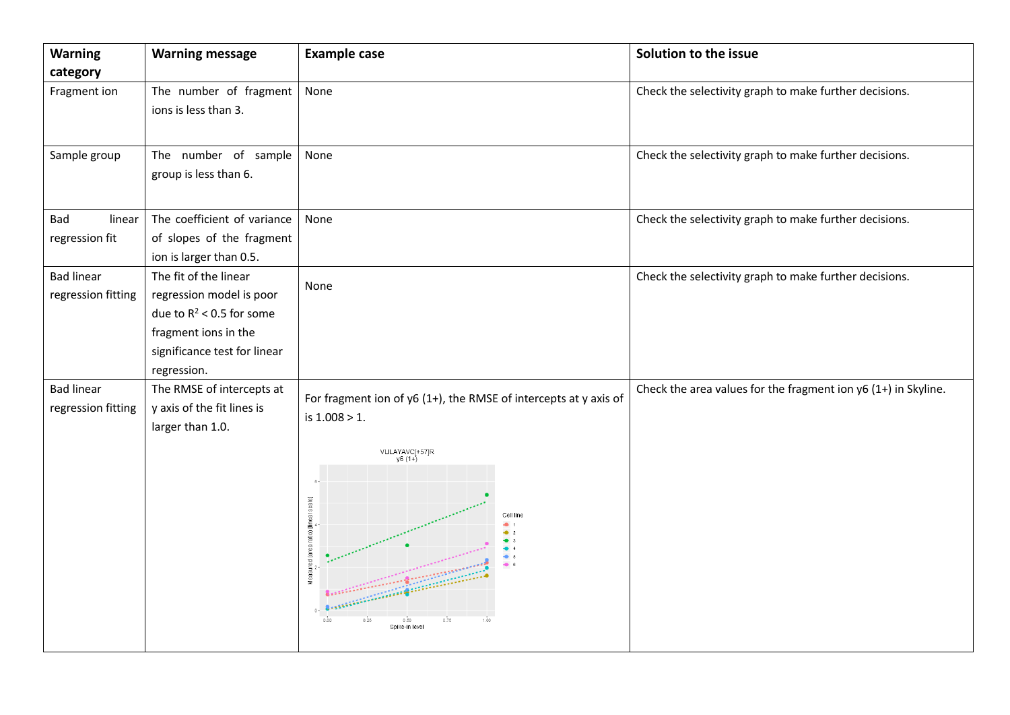| <b>Warning</b>     | <b>Warning message</b>       | <b>Example case</b>                                                | Solution to the issue                                           |
|--------------------|------------------------------|--------------------------------------------------------------------|-----------------------------------------------------------------|
| category           |                              |                                                                    |                                                                 |
| Fragment ion       | The number of fragment       | None                                                               | Check the selectivity graph to make further decisions.          |
|                    | ions is less than 3.         |                                                                    |                                                                 |
|                    |                              |                                                                    |                                                                 |
| Sample group       | The number of sample         | None                                                               | Check the selectivity graph to make further decisions.          |
|                    | group is less than 6.        |                                                                    |                                                                 |
|                    |                              |                                                                    |                                                                 |
| Bad<br>linear      | The coefficient of variance  | None                                                               | Check the selectivity graph to make further decisions.          |
| regression fit     | of slopes of the fragment    |                                                                    |                                                                 |
|                    | ion is larger than 0.5.      |                                                                    |                                                                 |
| <b>Bad linear</b>  | The fit of the linear        |                                                                    | Check the selectivity graph to make further decisions.          |
| regression fitting | regression model is poor     | None                                                               |                                                                 |
|                    | due to $R^2$ < 0.5 for some  |                                                                    |                                                                 |
|                    | fragment ions in the         |                                                                    |                                                                 |
|                    | significance test for linear |                                                                    |                                                                 |
|                    | regression.                  |                                                                    |                                                                 |
| <b>Bad linear</b>  | The RMSE of intercepts at    | For fragment ion of $y6(1+)$ , the RMSE of intercepts at y axis of | Check the area values for the fragment ion $y6(1+)$ in Skyline. |
| regression fitting | y axis of the fit lines is   | is $1.008 > 1$ .                                                   |                                                                 |
|                    | larger than 1.0.             |                                                                    |                                                                 |
|                    |                              | VLILAYAVC[+57]R<br>y6 (1+)                                         |                                                                 |
|                    |                              |                                                                    |                                                                 |
|                    |                              |                                                                    |                                                                 |
|                    |                              |                                                                    |                                                                 |
|                    |                              | $\bullet$ 2                                                        |                                                                 |
|                    |                              |                                                                    |                                                                 |
|                    |                              | Measured (area ratio) [linear scale]                               |                                                                 |
|                    |                              |                                                                    |                                                                 |
|                    |                              | 0.00<br>0.25<br>0.75<br>1.00<br>0.50                               |                                                                 |
|                    |                              | Spike-in level                                                     |                                                                 |
|                    |                              |                                                                    |                                                                 |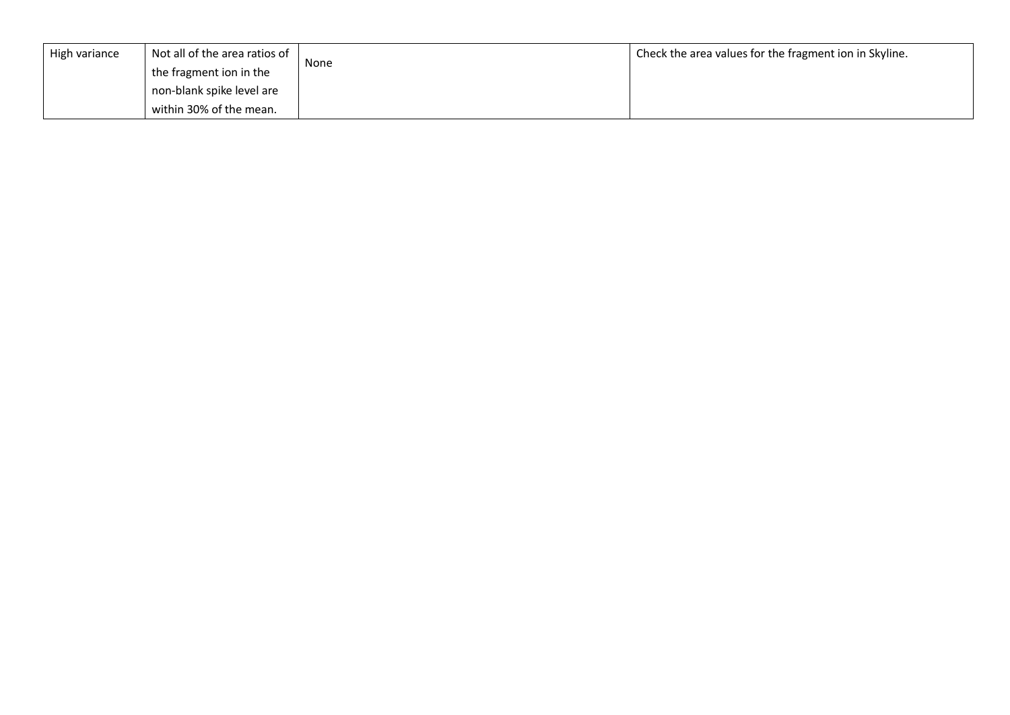| High variance | Not all of the area ratios of |      | Check the area values for the fragment ion in Skyline. |
|---------------|-------------------------------|------|--------------------------------------------------------|
|               | the fragment ion in the       | None |                                                        |
|               | non-blank spike level are     |      |                                                        |
|               | within 30% of the mean.       |      |                                                        |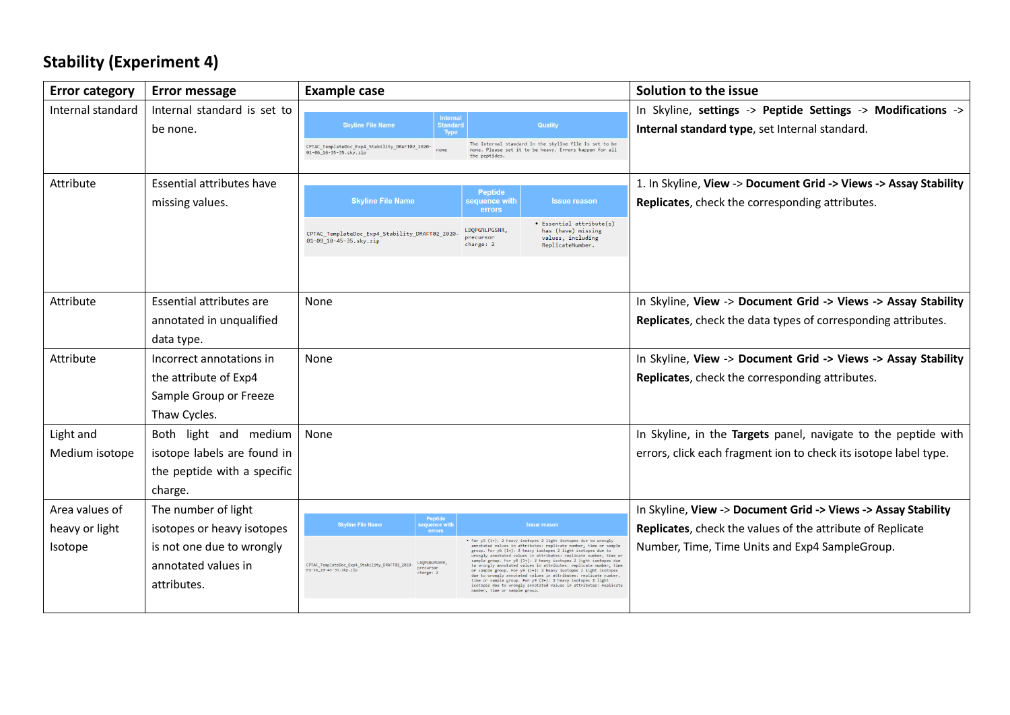# **Stability (Experiment 4)**

| <b>Error category</b> | <b>Error message</b>        | <b>Example case</b>                                                                                |                         |                                         |                                                                                                                                                                                                                                                                         | Solution to the issue                                             |
|-----------------------|-----------------------------|----------------------------------------------------------------------------------------------------|-------------------------|-----------------------------------------|-------------------------------------------------------------------------------------------------------------------------------------------------------------------------------------------------------------------------------------------------------------------------|-------------------------------------------------------------------|
| Internal standard     | Internal standard is set to |                                                                                                    | <b>Internal</b>         |                                         |                                                                                                                                                                                                                                                                         | In Skyline, settings -> Peptide Settings -> Modifications ->      |
|                       | be none.                    | <b>Skyline File Name</b>                                                                           | <b>Standard</b><br>Type |                                         | <b>Quality</b>                                                                                                                                                                                                                                                          | Internal standard type, set Internal standard.                    |
|                       |                             | CPTAC_TemplateDoc_Exp4_Stability_DRAFT02_2020-<br>01-06_16-35-35.sky.zip                           | none                    | the peptides                            | The internal standard in the skyline file is set to be<br>none. Please set it to be heavy. Errors happen for all                                                                                                                                                        |                                                                   |
|                       |                             |                                                                                                    |                         |                                         |                                                                                                                                                                                                                                                                         |                                                                   |
| Attribute             | Essential attributes have   |                                                                                                    |                         | <b>Peptide</b>                          |                                                                                                                                                                                                                                                                         | 1. In Skyline, View -> Document Grid -> Views -> Assay Stability  |
|                       | missing values.             | <b>Skyline File Name</b>                                                                           |                         | sequence with<br>errors                 | <b>Issue reason</b>                                                                                                                                                                                                                                                     | Replicates, check the corresponding attributes.                   |
|                       |                             | CPTAC_TemplateDoc_Exp4_Stability_DRAFT02_2020<br>01-09_10-45-35.sky.zip                            |                         | LDQPGNLPGSNR,<br>precursor<br>charge: 2 | • Essential attribute(s)<br>has (have) missing<br>values, including<br>ReplicateNumber.                                                                                                                                                                                 |                                                                   |
|                       |                             |                                                                                                    |                         |                                         |                                                                                                                                                                                                                                                                         |                                                                   |
| Attribute             | Essential attributes are    | None                                                                                               |                         |                                         |                                                                                                                                                                                                                                                                         | In Skyline, View -> Document Grid -> Views -> Assay Stability     |
|                       | annotated in unqualified    |                                                                                                    |                         |                                         |                                                                                                                                                                                                                                                                         | Replicates, check the data types of corresponding attributes.     |
|                       | data type.                  |                                                                                                    |                         |                                         |                                                                                                                                                                                                                                                                         |                                                                   |
| Attribute             | Incorrect annotations in    | None                                                                                               |                         |                                         |                                                                                                                                                                                                                                                                         | In Skyline, View -> Document Grid -> Views -> Assay Stability     |
|                       | the attribute of Exp4       |                                                                                                    |                         |                                         |                                                                                                                                                                                                                                                                         | Replicates, check the corresponding attributes.                   |
|                       | Sample Group or Freeze      |                                                                                                    |                         |                                         |                                                                                                                                                                                                                                                                         |                                                                   |
|                       | Thaw Cycles.                |                                                                                                    |                         |                                         |                                                                                                                                                                                                                                                                         |                                                                   |
| Light and             | Both light and medium       | None                                                                                               |                         |                                         |                                                                                                                                                                                                                                                                         | In Skyline, in the Targets panel, navigate to the peptide with    |
| Medium isotope        | isotope labels are found in |                                                                                                    |                         |                                         |                                                                                                                                                                                                                                                                         | errors, click each fragment ion to check its isotope label type.  |
|                       | the peptide with a specific |                                                                                                    |                         |                                         |                                                                                                                                                                                                                                                                         |                                                                   |
|                       | charge.                     |                                                                                                    |                         |                                         |                                                                                                                                                                                                                                                                         |                                                                   |
| Area values of        | The number of light         |                                                                                                    | Peptide                 |                                         |                                                                                                                                                                                                                                                                         | In Skyline, View -> Document Grid -> Views -> Assay Stability     |
| heavy or light        | isotopes or heavy isotopes  | <b>Skyline File Name</b>                                                                           | quence wit<br>errors    |                                         | <b>Issue reason</b>                                                                                                                                                                                                                                                     | <b>Replicates, check the values of the attribute of Replicate</b> |
| Isotope               | is not one due to wrongly   |                                                                                                    |                         |                                         | . For y5 (1+): 2 heavy isotopes 2 light isotopes due to wrongly<br>annotated values in attributes: replicate number, time or sampl<br>group. For y6 (1+): 2 heavy isotopes 2 light isotopes due to<br>wrongly annotated values in attributes: replicate number, time or | Number, Time, Time Units and Exp4 SampleGroup.                    |
|                       | annotated values in         | CPTAC_TemplateDoc_Exp4_Stability_DRAFT02_2020-<br>precursor<br>01-16 10-45-35.sky.zip<br>change: 2 | LDOPGNLPGSNR,           |                                         | sample group. For y8 (1+): 2 heavy isotopes 2 light isotopes due<br>to wrongly annotated values in attributes: replicate number, time<br>or sample group. For y9 (1+): 2 heavy isotopes 2 light isotopes                                                                |                                                                   |
|                       | attributes.                 |                                                                                                    |                         | number, time or sample group.           | due to wrongly annotated values in attributes: replicate number,<br>time or sample group. For y9 (2+): 2 heavy isotopes 2 light<br>isotopes due to wrongly annotated values in attributes: replicate                                                                    |                                                                   |
|                       |                             |                                                                                                    |                         |                                         |                                                                                                                                                                                                                                                                         |                                                                   |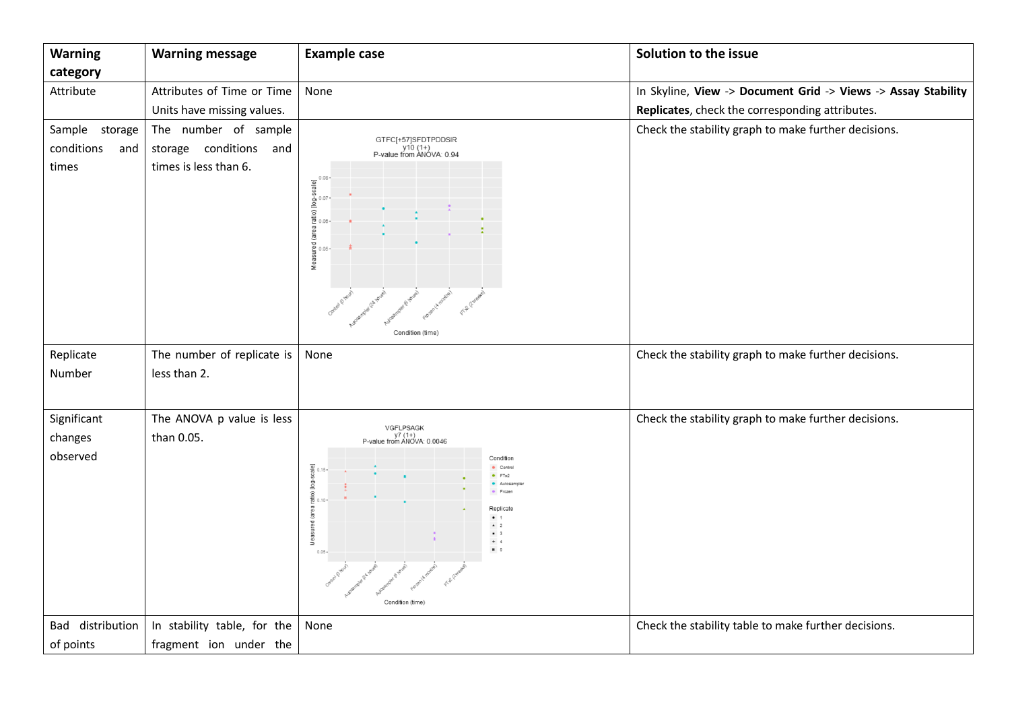| <b>Warning</b>                               | <b>Warning message</b>                                                  | <b>Example case</b>                                                                                                                                                                                                                          | Solution to the issue                                         |
|----------------------------------------------|-------------------------------------------------------------------------|----------------------------------------------------------------------------------------------------------------------------------------------------------------------------------------------------------------------------------------------|---------------------------------------------------------------|
| category                                     |                                                                         |                                                                                                                                                                                                                                              |                                                               |
| Attribute                                    | Attributes of Time or Time                                              | None                                                                                                                                                                                                                                         | In Skyline, View -> Document Grid -> Views -> Assay Stability |
|                                              | Units have missing values.                                              |                                                                                                                                                                                                                                              | Replicates, check the corresponding attributes.               |
| Sample storage<br>conditions<br>and<br>times | The number of sample<br>storage conditions and<br>times is less than 6. | GTFC[+57]SFDTPDDSIR<br>y10 (1+)<br>P-value from ANOVA: 0.94<br>a ratio) [log-scale]<br>a.c. o.o.<br>a.c. o.o. .<br>Measured (area n<br>easured (area n<br>a<br>Condition (time)                                                              | Check the stability graph to make further decisions.          |
| Replicate<br>Number                          | The number of replicate is<br>less than 2.                              | None                                                                                                                                                                                                                                         | Check the stability graph to make further decisions.          |
| Significant<br>changes<br>observed           | The ANOVA p value is less<br>than 0.05.                                 | VGFLPSAGK<br>y7 (1+)<br>P-value from ANOVA: 0.0046<br>Condition<br>scale]<br>· Control<br>FTx2<br>ratio) [log-s<br>Autosa<br>· Froze<br>Replicate<br>$\frac{1}{2}$<br>$\blacksquare$ 3<br>Mea<br>$+ 4$<br>85<br>$0.05 -$<br>Condition (time) | Check the stability graph to make further decisions.          |
| Bad distribution<br>of points                | In stability table, for the<br>fragment ion under the                   | None                                                                                                                                                                                                                                         | Check the stability table to make further decisions.          |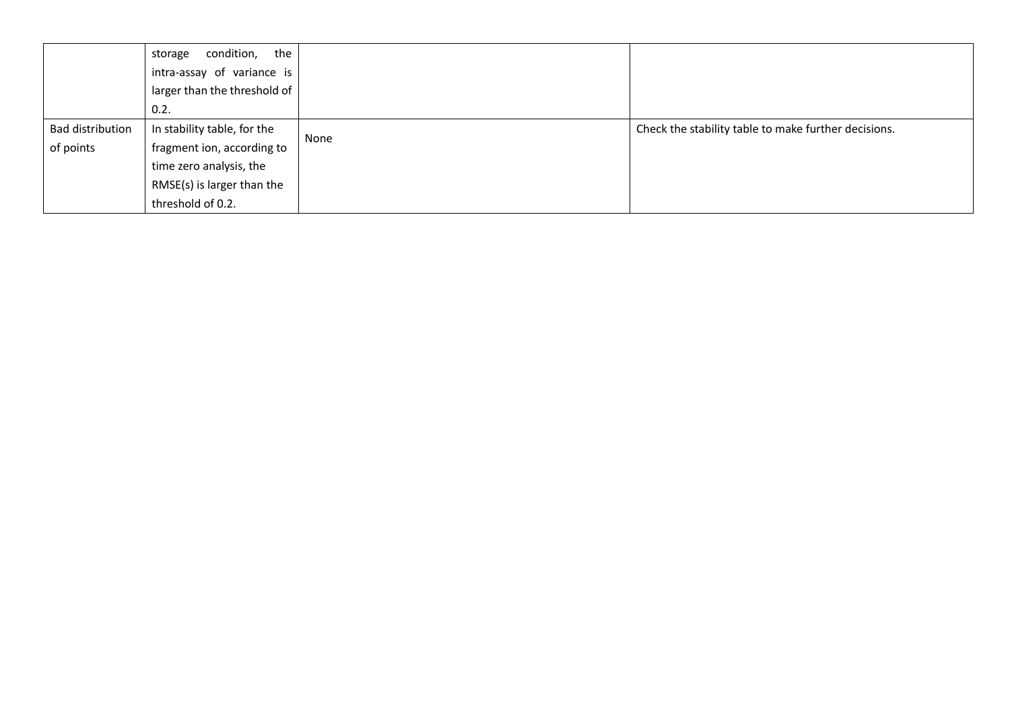|                         | condition, the<br>storage    |      |                                                      |
|-------------------------|------------------------------|------|------------------------------------------------------|
|                         | intra-assay of variance is   |      |                                                      |
|                         | larger than the threshold of |      |                                                      |
|                         | 0.2.                         |      |                                                      |
| <b>Bad distribution</b> | In stability table, for the  |      | Check the stability table to make further decisions. |
| of points               | fragment ion, according to   | None |                                                      |
|                         | time zero analysis, the      |      |                                                      |
|                         | RMSE(s) is larger than the   |      |                                                      |
|                         | threshold of 0.2.            |      |                                                      |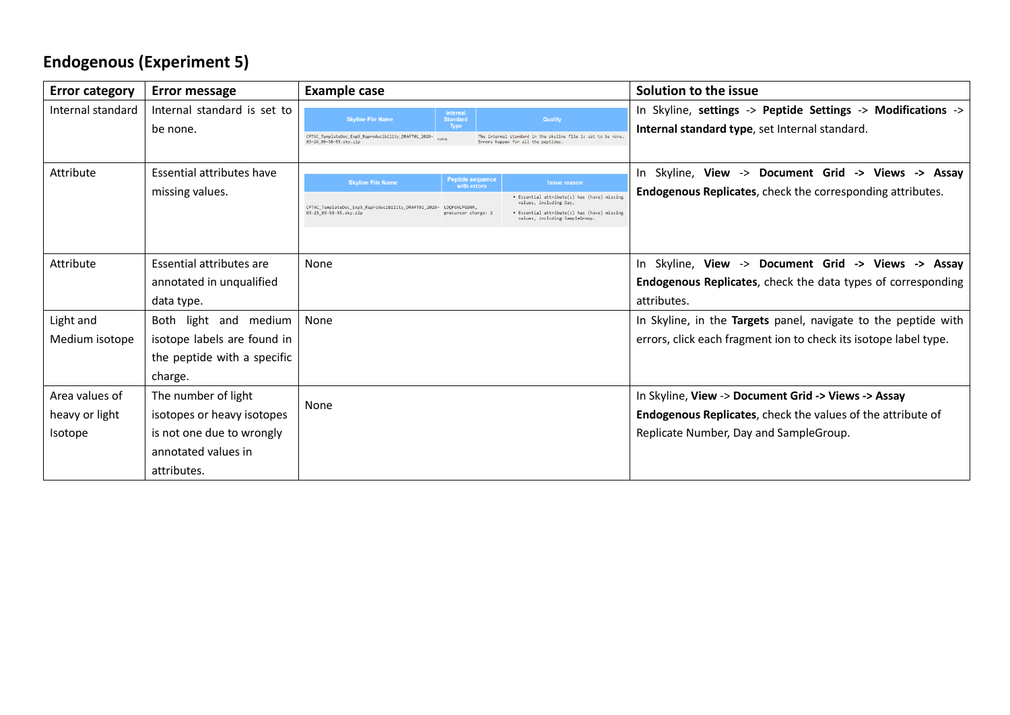# **Endogenous (Experiment 5)**

| <b>Error category</b>                       | <b>Error message</b>                                                                                                 | <b>Example case</b>                                                                                                                                                                                                                                                                                                                                                           | Solution to the issue                                                                                                                                               |
|---------------------------------------------|----------------------------------------------------------------------------------------------------------------------|-------------------------------------------------------------------------------------------------------------------------------------------------------------------------------------------------------------------------------------------------------------------------------------------------------------------------------------------------------------------------------|---------------------------------------------------------------------------------------------------------------------------------------------------------------------|
| Internal standard                           | Internal standard is set to<br>be none.                                                                              | <b>Internal</b><br><b>Skyline File Name</b><br><b>Standard</b><br><b>Quality</b><br><b>Type</b><br>CPTAC_TemplateDoc_Exp5_Reproducibility_DRAFT01_2020-<br>The internal standard in the skyline file is set to be none.<br>none<br>03-26_09-58-55.sky.zip<br>Errors happen for all the peptides.                                                                              | In Skyline, settings -> Peptide Settings -> Modifications -><br>Internal standard type, set Internal standard.                                                      |
| Attribute                                   | Essential attributes have<br>missing values.                                                                         | <b>Peptide sequence</b><br><b>Skyline File Name</b><br><b>Issue reason</b><br>with errors<br>• Essential attribute(s) has (have) missing<br>values, including Day.<br>CPTAC_TemplateDoc_Exp5_Reproducibility_DRAFT01_2020-<br>LDOPGNLPGSNR,<br>03-25_09-58-55.sky.zip<br>• Essential attribute(s) has (have) missing<br>precursor charge: 2<br>values, including SampleGroup. | In Skyline, View -> Document Grid -> Views -> Assay<br><b>Endogenous Replicates, check the corresponding attributes.</b>                                            |
| Attribute                                   | Essential attributes are<br>annotated in unqualified<br>data type.                                                   | None                                                                                                                                                                                                                                                                                                                                                                          | In Skyline, View -> Document Grid -> Views -> Assay<br><b>Endogenous Replicates, check the data types of corresponding</b><br>attributes.                           |
| Light and<br>Medium isotope                 | Both light and medium<br>isotope labels are found in<br>the peptide with a specific<br>charge.                       | None                                                                                                                                                                                                                                                                                                                                                                          | In Skyline, in the Targets panel, navigate to the peptide with<br>errors, click each fragment ion to check its isotope label type.                                  |
| Area values of<br>heavy or light<br>Isotope | The number of light<br>isotopes or heavy isotopes<br>is not one due to wrongly<br>annotated values in<br>attributes. | None                                                                                                                                                                                                                                                                                                                                                                          | In Skyline, View -> Document Grid -> Views -> Assay<br><b>Endogenous Replicates,</b> check the values of the attribute of<br>Replicate Number, Day and SampleGroup. |